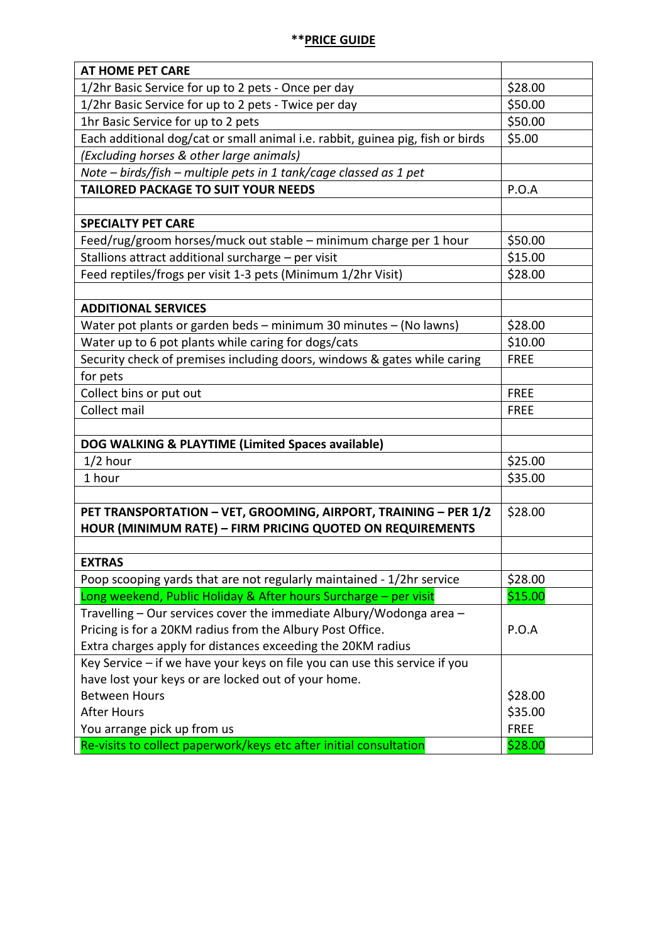| <b>AT HOME PET CARE</b>                                                        |             |
|--------------------------------------------------------------------------------|-------------|
| 1/2hr Basic Service for up to 2 pets - Once per day                            | \$28.00     |
| 1/2hr Basic Service for up to 2 pets - Twice per day                           | \$50.00     |
| 1hr Basic Service for up to 2 pets                                             | \$50.00     |
| Each additional dog/cat or small animal i.e. rabbit, guinea pig, fish or birds | \$5.00      |
| (Excluding horses & other large animals)                                       |             |
| Note - birds/fish - multiple pets in 1 tank/cage classed as 1 pet              |             |
| <b>TAILORED PACKAGE TO SUIT YOUR NEEDS</b>                                     | P.O.A       |
|                                                                                |             |
| <b>SPECIALTY PET CARE</b>                                                      |             |
| Feed/rug/groom horses/muck out stable - minimum charge per 1 hour              | \$50.00     |
| Stallions attract additional surcharge - per visit                             | \$15.00     |
| Feed reptiles/frogs per visit 1-3 pets (Minimum 1/2hr Visit)                   | \$28.00     |
|                                                                                |             |
| <b>ADDITIONAL SERVICES</b>                                                     |             |
| Water pot plants or garden beds - minimum 30 minutes - (No lawns)              | \$28.00     |
| Water up to 6 pot plants while caring for dogs/cats                            | \$10.00     |
| Security check of premises including doors, windows & gates while caring       | <b>FREE</b> |
| for pets                                                                       |             |
| Collect bins or put out                                                        | <b>FREE</b> |
| Collect mail                                                                   | <b>FREE</b> |
|                                                                                |             |
| DOG WALKING & PLAYTIME (Limited Spaces available)                              |             |
| $1/2$ hour                                                                     | \$25.00     |
| 1 hour                                                                         | \$35.00     |
|                                                                                |             |
| PET TRANSPORTATION - VET, GROOMING, AIRPORT, TRAINING - PER 1/2                | \$28.00     |
| HOUR (MINIMUM RATE) - FIRM PRICING QUOTED ON REQUIREMENTS                      |             |
|                                                                                |             |
| <b>EXTRAS</b>                                                                  |             |
| Poop scooping yards that are not regularly maintained - 1/2hr service          | \$28.00     |
| Long weekend, Public Holiday & After hours Surcharge - per visit               | \$15.00     |
| Travelling – Our services cover the immediate Albury/Wodonga area –            |             |
| Pricing is for a 20KM radius from the Albury Post Office.                      | P.O.A       |
| Extra charges apply for distances exceeding the 20KM radius                    |             |
| Key Service - if we have your keys on file you can use this service if you     |             |
| have lost your keys or are locked out of your home.                            |             |
| <b>Between Hours</b>                                                           | \$28.00     |
| <b>After Hours</b>                                                             | \$35.00     |
| You arrange pick up from us                                                    | <b>FREE</b> |
| Re-visits to collect paperwork/keys etc after initial consultation             | \$28.00     |